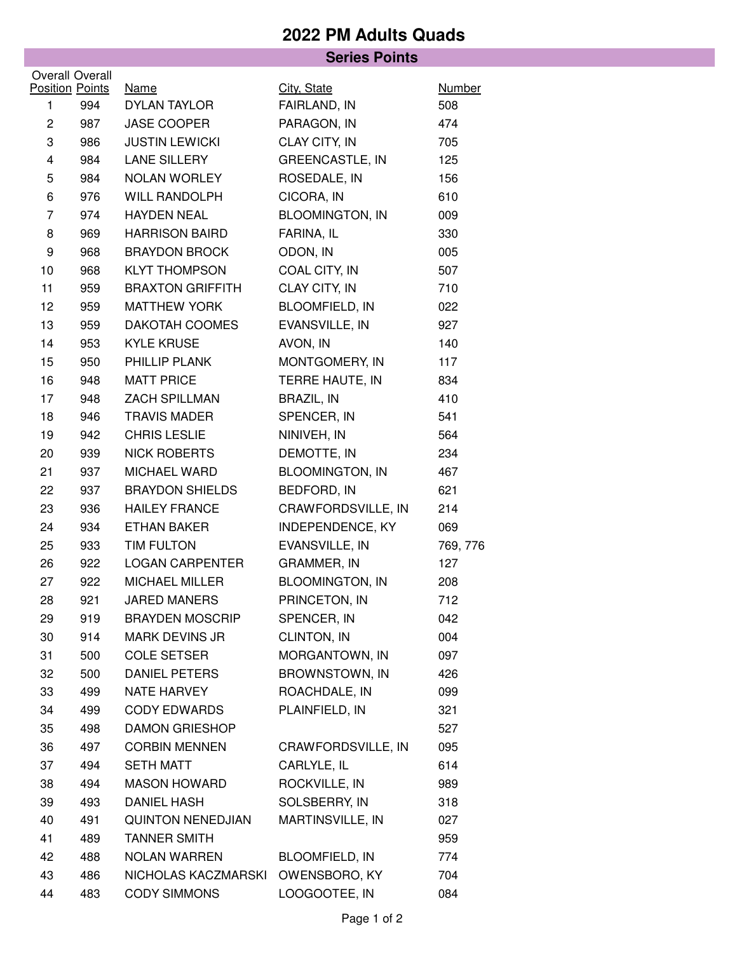## **2022 PM Adults Quads**

| <b>Series Points</b>                   |            |                                               |                                              |                      |  |  |  |  |
|----------------------------------------|------------|-----------------------------------------------|----------------------------------------------|----------------------|--|--|--|--|
| <b>Overall Overall</b>                 |            |                                               |                                              |                      |  |  |  |  |
| <b>Position Points</b><br>$\mathbf{1}$ | 994        | <b>Name</b><br><b>DYLAN TAYLOR</b>            | City, State<br>FAIRLAND, IN                  | <b>Number</b><br>508 |  |  |  |  |
| $\sqrt{2}$                             | 987        | <b>JASE COOPER</b>                            | PARAGON, IN                                  | 474                  |  |  |  |  |
| 3                                      | 986        | <b>JUSTIN LEWICKI</b>                         | CLAY CITY, IN                                | 705                  |  |  |  |  |
|                                        | 984        | <b>LANE SILLERY</b>                           | <b>GREENCASTLE, IN</b>                       | 125                  |  |  |  |  |
| 4                                      | 984        | NOLAN WORLEY                                  | ROSEDALE, IN                                 | 156                  |  |  |  |  |
| 5<br>6                                 | 976        | <b>WILL RANDOLPH</b>                          | CICORA, IN                                   | 610                  |  |  |  |  |
| $\overline{7}$                         | 974        | <b>HAYDEN NEAL</b>                            | <b>BLOOMINGTON, IN</b>                       | 009                  |  |  |  |  |
| 8                                      | 969        | <b>HARRISON BAIRD</b>                         | FARINA, IL                                   | 330                  |  |  |  |  |
| 9                                      |            | <b>BRAYDON BROCK</b>                          |                                              | 005                  |  |  |  |  |
|                                        | 968        | <b>KLYT THOMPSON</b>                          | ODON, IN                                     | 507                  |  |  |  |  |
| 10                                     | 968        | <b>BRAXTON GRIFFITH</b>                       | COAL CITY, IN<br><b>CLAY CITY, IN</b>        |                      |  |  |  |  |
| 11                                     | 959        |                                               |                                              | 710                  |  |  |  |  |
| 12<br>13                               | 959<br>959 | <b>MATTHEW YORK</b><br>DAKOTAH COOMES         | <b>BLOOMFIELD, IN</b><br>EVANSVILLE, IN      | 022<br>927           |  |  |  |  |
|                                        |            |                                               |                                              |                      |  |  |  |  |
| 14                                     | 953        | <b>KYLE KRUSE</b>                             | AVON, IN<br>MONTGOMERY, IN                   | 140                  |  |  |  |  |
| 15                                     | 950<br>948 | PHILLIP PLANK<br><b>MATT PRICE</b>            | TERRE HAUTE, IN                              | 117                  |  |  |  |  |
| 16<br>17                               |            | <b>ZACH SPILLMAN</b>                          |                                              | 834<br>410           |  |  |  |  |
|                                        | 948        | <b>TRAVIS MADER</b>                           | <b>BRAZIL, IN</b>                            | 541                  |  |  |  |  |
| 18                                     | 946        |                                               | SPENCER, IN                                  |                      |  |  |  |  |
| 19                                     | 942        | <b>CHRIS LESLIE</b>                           | NINIVEH, IN                                  | 564                  |  |  |  |  |
| 20                                     | 939<br>937 | <b>NICK ROBERTS</b><br>MICHAEL WARD           | DEMOTTE, IN<br><b>BLOOMINGTON, IN</b>        | 234<br>467           |  |  |  |  |
| 21                                     |            |                                               |                                              |                      |  |  |  |  |
| 22                                     | 937        | <b>BRAYDON SHIELDS</b>                        | BEDFORD, IN                                  | 621                  |  |  |  |  |
| 23                                     | 936        | <b>HAILEY FRANCE</b>                          | CRAWFORDSVILLE, IN<br>INDEPENDENCE, KY       | 214                  |  |  |  |  |
| 24                                     | 934        | <b>ETHAN BAKER</b>                            |                                              | 069                  |  |  |  |  |
| 25                                     | 933        | <b>TIM FULTON</b>                             | EVANSVILLE, IN                               | 769, 776             |  |  |  |  |
| 26<br>27                               | 922<br>922 | <b>LOGAN CARPENTER</b>                        | <b>GRAMMER, IN</b><br><b>BLOOMINGTON, IN</b> | 127<br>208           |  |  |  |  |
|                                        |            | <b>MICHAEL MILLER</b>                         |                                              |                      |  |  |  |  |
| 28                                     | 921        | <b>JARED MANERS</b><br><b>BRAYDEN MOSCRIP</b> | PRINCETON, IN                                | 712<br>042           |  |  |  |  |
| 29                                     | 919        | <b>MARK DEVINS JR</b>                         | SPENCER, IN<br>CLINTON, IN                   |                      |  |  |  |  |
| 30                                     | 914        |                                               |                                              | 004                  |  |  |  |  |
| 31                                     | 500        | <b>COLE SETSER</b>                            | MORGANTOWN, IN                               | 097                  |  |  |  |  |
| 32                                     | 500        | <b>DANIEL PETERS</b>                          | BROWNSTOWN, IN                               | 426                  |  |  |  |  |
| 33                                     | 499        | NATE HARVEY                                   | ROACHDALE, IN                                | 099                  |  |  |  |  |
| 34                                     | 499        | <b>CODY EDWARDS</b>                           | PLAINFIELD, IN                               | 321                  |  |  |  |  |
| 35                                     | 498        | <b>DAMON GRIESHOP</b>                         |                                              | 527                  |  |  |  |  |
| 36                                     | 497        | <b>CORBIN MENNEN</b>                          | CRAWFORDSVILLE, IN                           | 095                  |  |  |  |  |
| 37                                     | 494        | <b>SETH MATT</b>                              | CARLYLE, IL                                  | 614                  |  |  |  |  |
| 38                                     | 494        | <b>MASON HOWARD</b>                           | ROCKVILLE, IN                                | 989                  |  |  |  |  |
| 39                                     | 493        | <b>DANIEL HASH</b>                            | SOLSBERRY, IN                                | 318                  |  |  |  |  |
| 40                                     | 491        | <b>QUINTON NENEDJIAN</b>                      | MARTINSVILLE, IN                             | 027                  |  |  |  |  |
| 41                                     | 489        | <b>TANNER SMITH</b>                           |                                              | 959                  |  |  |  |  |
| 42                                     | 488        | <b>NOLAN WARREN</b>                           | <b>BLOOMFIELD, IN</b>                        | 774                  |  |  |  |  |
| 43                                     | 486        | NICHOLAS KACZMARSKI                           | OWENSBORO, KY                                | 704                  |  |  |  |  |
| 44                                     | 483        | <b>CODY SIMMONS</b>                           | LOOGOOTEE, IN                                | 084                  |  |  |  |  |